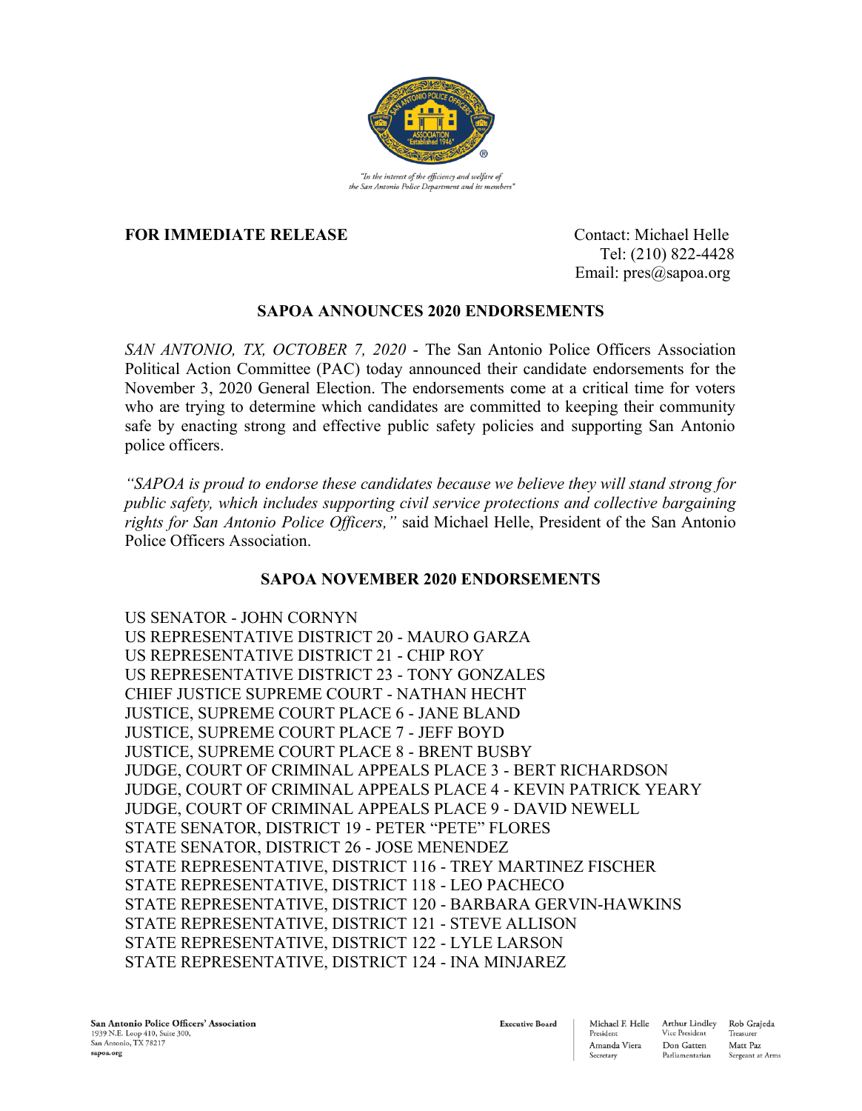

"In the interest of the efficiency and welfare of the San Antonio Police Department and its members

## **FOR IMMEDIATE RELEASE** Contact: Michael Helle

 Tel: (210) 822-4428 Email: pres@sapoa.org

## **SAPOA ANNOUNCES 2020 ENDORSEMENTS**

*SAN ANTONIO, TX, OCTOBER 7, 2020* - The San Antonio Police Officers Association Political Action Committee (PAC) today announced their candidate endorsements for the November 3, 2020 General Election. The endorsements come at a critical time for voters who are trying to determine which candidates are committed to keeping their community safe by enacting strong and effective public safety policies and supporting San Antonio police officers.

*"SAPOA is proud to endorse these candidates because we believe they will stand strong for public safety, which includes supporting civil service protections and collective bargaining rights for San Antonio Police Officers,"* said Michael Helle, President of the San Antonio Police Officers Association.

## **SAPOA NOVEMBER 2020 ENDORSEMENTS**

US SENATOR - JOHN CORNYN US REPRESENTATIVE DISTRICT 20 - MAURO GARZA US REPRESENTATIVE DISTRICT 21 - CHIP ROY US REPRESENTATIVE DISTRICT 23 - TONY GONZALES CHIEF JUSTICE SUPREME COURT - NATHAN HECHT JUSTICE, SUPREME COURT PLACE 6 - JANE BLAND JUSTICE, SUPREME COURT PLACE 7 - JEFF BOYD JUSTICE, SUPREME COURT PLACE 8 - BRENT BUSBY JUDGE, COURT OF CRIMINAL APPEALS PLACE 3 - BERT RICHARDSON JUDGE, COURT OF CRIMINAL APPEALS PLACE 4 - KEVIN PATRICK YEARY JUDGE, COURT OF CRIMINAL APPEALS PLACE 9 - DAVID NEWELL STATE SENATOR, DISTRICT 19 - PETER "PETE" FLORES STATE SENATOR, DISTRICT 26 - JOSE MENENDEZ STATE REPRESENTATIVE, DISTRICT 116 - TREY MARTINEZ FISCHER STATE REPRESENTATIVE, DISTRICT 118 - LEO PACHECO STATE REPRESENTATIVE, DISTRICT 120 - BARBARA GERVIN-HAWKINS STATE REPRESENTATIVE, DISTRICT 121 - STEVE ALLISON STATE REPRESENTATIVE, DISTRICT 122 - LYLE LARSON STATE REPRESENTATIVE, DISTRICT 124 - INA MINJAREZ

**Executive Board** 

Arthur Lindley Rob Graieda Treasurer Matt Paz Sergeant at Arms